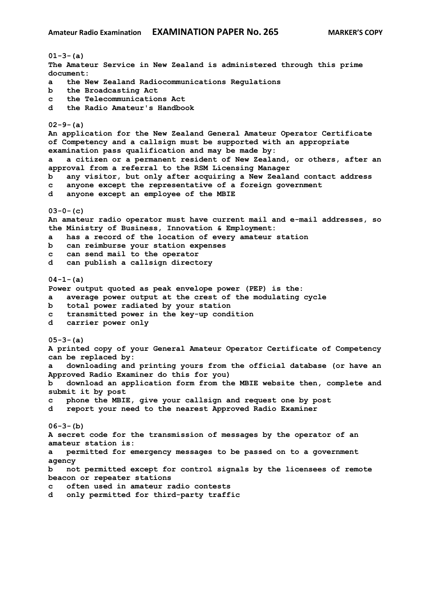**01-3-(a) The Amateur Service in New Zealand is administered through this prime document: a the New Zealand Radiocommunications Regulations b the Broadcasting Act c the Telecommunications Act d the Radio Amateur's Handbook 02-9-(a) An application for the New Zealand General Amateur Operator Certificate of Competency and a callsign must be supported with an appropriate examination pass qualification and may be made by: a a citizen or a permanent resident of New Zealand, or others, after an approval from a referral to the RSM Licensing Manager b any visitor, but only after acquiring a New Zealand contact address c anyone except the representative of a foreign government d anyone except an employee of the MBIE 03-0-(c) An amateur radio operator must have current mail and e-mail addresses, so the Ministry of Business, Innovation & Employment: a has a record of the location of every amateur station b can reimburse your station expenses c can send mail to the operator d can publish a callsign directory 04-1-(a) Power output quoted as peak envelope power (PEP) is the: a average power output at the crest of the modulating cycle b total power radiated by your station c transmitted power in the key-up condition d carrier power only 05-3-(a) A printed copy of your General Amateur Operator Certificate of Competency can be replaced by: a downloading and printing yours from the official database (or have an Approved Radio Examiner do this for you) b download an application form from the MBIE website then, complete and submit it by post c phone the MBIE, give your callsign and request one by post d report your need to the nearest Approved Radio Examiner 06-3-(b) A secret code for the transmission of messages by the operator of an amateur station is: a permitted for emergency messages to be passed on to a government agency b not permitted except for control signals by the licensees of remote beacon or repeater stations c often used in amateur radio contests d only permitted for third-party traffic**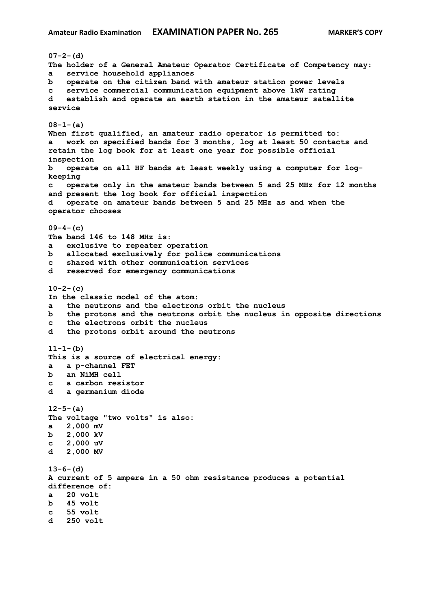```
07-2-(d)
The holder of a General Amateur Operator Certificate of Competency may:
a service household appliances
b operate on the citizen band with amateur station power levels
c service commercial communication equipment above 1kW rating
d establish and operate an earth station in the amateur satellite 
service
08-1-(a)
When first qualified, an amateur radio operator is permitted to:
a work on specified bands for 3 months, log at least 50 contacts and 
retain the log book for at least one year for possible official 
inspection
b operate on all HF bands at least weekly using a computer for log-
keeping
c operate only in the amateur bands between 5 and 25 MHz for 12 months 
and present the log book for official inspection
d operate on amateur bands between 5 and 25 MHz as and when the 
operator chooses
09-4-(c)
The band 146 to 148 MHz is:
a exclusive to repeater operation
b allocated exclusively for police communications
c shared with other communication services
d reserved for emergency communications
10-2-(c)
In the classic model of the atom:
a the neutrons and the electrons orbit the nucleus
b the protons and the neutrons orbit the nucleus in opposite directions
c the electrons orbit the nucleus
d the protons orbit around the neutrons
11-1-(b)
This is a source of electrical energy:
a a p-channel FET
b an NiMH cell
c a carbon resistor
d a germanium diode
12-5-(a)
The voltage "two volts" is also:
a 2,000 mV
b 2,000 kV
c 2,000 uV
d 2,000 MV
13-6-(d)
A current of 5 ampere in a 50 ohm resistance produces a potential 
difference of:
a 20 volt
b 45 volt 
c 55 volt 
d 250 volt
```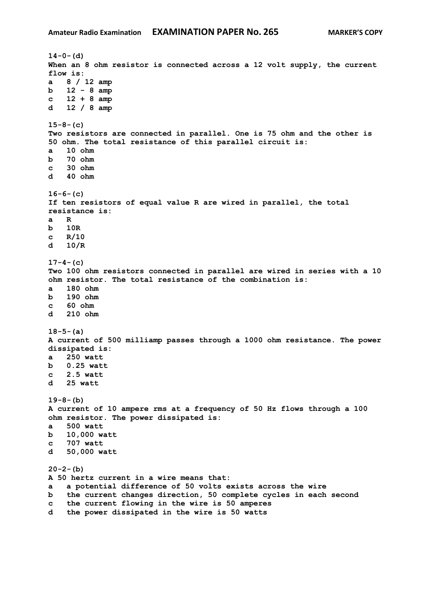```
14-0-(d)
When an 8 ohm resistor is connected across a 12 volt supply, the current 
flow is:
a 8 / 12 amp
b 12 - 8 amp 
c 12 + 8 amp 
d 12 / 8 amp 
15-8-(c)
Two resistors are connected in parallel. One is 75 ohm and the other is 
50 ohm. The total resistance of this parallel circuit is:
a 10 ohm
b 70 ohm 
c 30 ohm 
d 40 ohm 
16-6-(c)
If ten resistors of equal value R are wired in parallel, the total 
resistance is:
a R
b 10R
c R/10
d 10/R 
17-4-(c)
Two 100 ohm resistors connected in parallel are wired in series with a 10 
ohm resistor. The total resistance of the combination is:
a 180 ohm
b 190 ohm 
c 60 ohm
d 210 ohm
18-5-(a)
A current of 500 milliamp passes through a 1000 ohm resistance. The power 
dissipated is:
a 250 watt
b 0.25 watt
c 2.5 watt
d 25 watt
19-8-(b)
A current of 10 ampere rms at a frequency of 50 Hz flows through a 100 
ohm resistor. The power dissipated is:
a 500 watt
b 10,000 watt
c 707 watt
d 50,000 watt
20-2-(b)
A 50 hertz current in a wire means that:
a a potential difference of 50 volts exists across the wire
b the current changes direction, 50 complete cycles in each second
c the current flowing in the wire is 50 amperes
d the power dissipated in the wire is 50 watts
```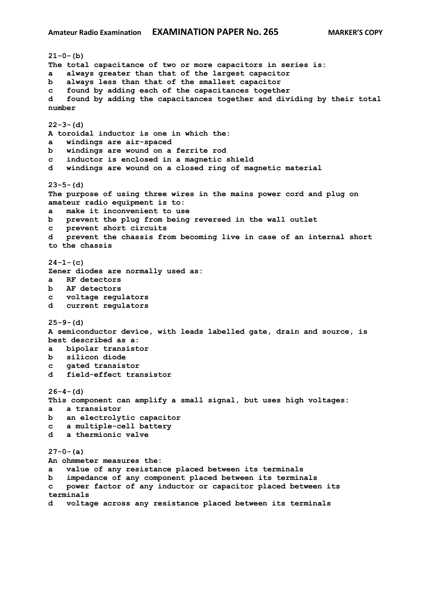**21-0-(b) The total capacitance of two or more capacitors in series is: a always greater than that of the largest capacitor b always less than that of the smallest capacitor c found by adding each of the capacitances together d found by adding the capacitances together and dividing by their total number 22-3-(d) A toroidal inductor is one in which the: a windings are air-spaced b windings are wound on a ferrite rod c inductor is enclosed in a magnetic shield d windings are wound on a closed ring of magnetic material 23-5-(d) The purpose of using three wires in the mains power cord and plug on amateur radio equipment is to: a make it inconvenient to use b prevent the plug from being reversed in the wall outlet c prevent short circuits d prevent the chassis from becoming live in case of an internal short to the chassis 24-1-(c) Zener diodes are normally used as: a RF detectors b AF detectors c voltage regulators d current regulators 25-9-(d) A semiconductor device, with leads labelled gate, drain and source, is best described as a: a bipolar transistor b silicon diode c gated transistor d field-effect transistor 26-4-(d) This component can amplify a small signal, but uses high voltages: a a transistor b an electrolytic capacitor c a multiple-cell battery d a thermionic valve 27-0-(a) An ohmmeter measures the: a value of any resistance placed between its terminals b impedance of any component placed between its terminals c power factor of any inductor or capacitor placed between its terminals d voltage across any resistance placed between its terminals**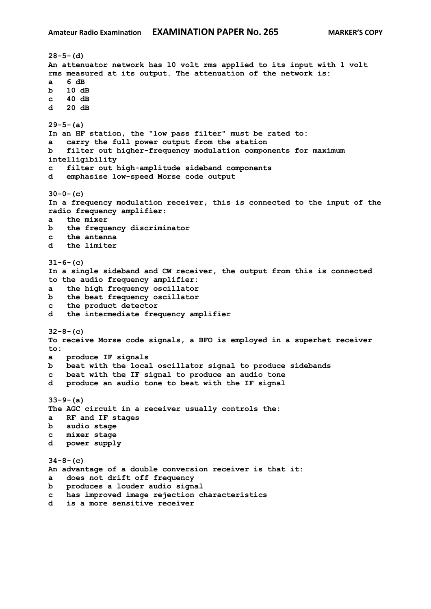```
28-5-(d)
An attenuator network has 10 volt rms applied to its input with 1 volt 
rms measured at its output. The attenuation of the network is:
a 6 dB
b 10 dB
c 40 dB 
d 20 dB 
29-5-(a)
In an HF station, the "low pass filter" must be rated to:
a carry the full power output from the station
b filter out higher-frequency modulation components for maximum 
intelligibility
c filter out high-amplitude sideband components
d emphasise low-speed Morse code output
30-0-(c)
In a frequency modulation receiver, this is connected to the input of the 
radio frequency amplifier:
a the mixer
b the frequency discriminator
c the antenna
d the limiter
31-6-(c)
In a single sideband and CW receiver, the output from this is connected 
to the audio frequency amplifier:
a the high frequency oscillator
b the beat frequency oscillator
c the product detector
d the intermediate frequency amplifier
32-8-(c)
To receive Morse code signals, a BFO is employed in a superhet receiver 
to:
a produce IF signals
b beat with the local oscillator signal to produce sidebands
c beat with the IF signal to produce an audio tone
d produce an audio tone to beat with the IF signal
33-9-(a)
The AGC circuit in a receiver usually controls the:
a RF and IF stages
b audio stage
c mixer stage
d power supply
34-8-(c)
An advantage of a double conversion receiver is that it:
a does not drift off frequency
b produces a louder audio signal
c has improved image rejection characteristics
d is a more sensitive receiver
```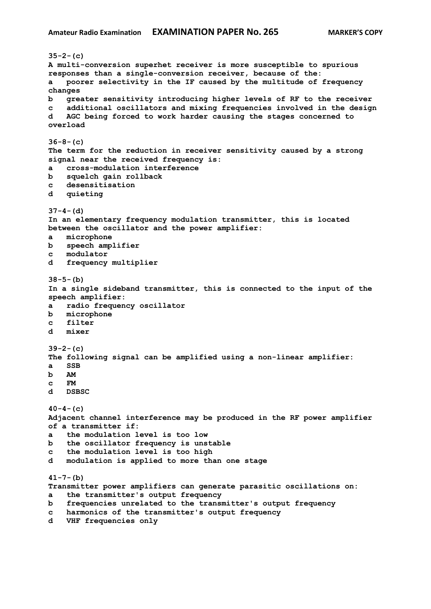```
35-2-(c)
A multi-conversion superhet receiver is more susceptible to spurious 
responses than a single-conversion receiver, because of the:
a poorer selectivity in the IF caused by the multitude of frequency 
changes
b greater sensitivity introducing higher levels of RF to the receiver
c additional oscillators and mixing frequencies involved in the design
d AGC being forced to work harder causing the stages concerned to 
overload
36-8-(c)
The term for the reduction in receiver sensitivity caused by a strong 
signal near the received frequency is:
a cross-modulation interference
b squelch gain rollback
c desensitisation
d quieting
37-4-(d)
In an elementary frequency modulation transmitter, this is located 
between the oscillator and the power amplifier:
a microphone
b speech amplifier
c modulator
d frequency multiplier
38-5-(b)
In a single sideband transmitter, this is connected to the input of the 
speech amplifier:
a radio frequency oscillator
b microphone
c filter
d mixer
39-2-(c)
The following signal can be amplified using a non-linear amplifier:
a SSB
b AM
c FM
d DSBSC
40-4-(c)
Adjacent channel interference may be produced in the RF power amplifier 
of a transmitter if:
a the modulation level is too low
b the oscillator frequency is unstable
c the modulation level is too high
d modulation is applied to more than one stage
41-7-(b)
Transmitter power amplifiers can generate parasitic oscillations on:
a the transmitter's output frequency
b frequencies unrelated to the transmitter's output frequency
c harmonics of the transmitter's output frequency
d VHF frequencies only
```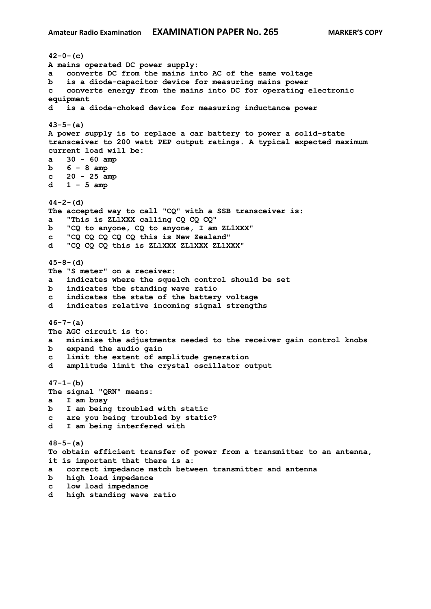**42-0-(c) A mains operated DC power supply: a converts DC from the mains into AC of the same voltage b is a diode-capacitor device for measuring mains power c converts energy from the mains into DC for operating electronic equipment d is a diode-choked device for measuring inductance power 43-5-(a) A power supply is to replace a car battery to power a solid-state transceiver to 200 watt PEP output ratings. A typical expected maximum current load will be: a 30 - 60 amp b 6 - 8 amp c 20 - 25 amp d 1 - 5 amp 44-2-(d) The accepted way to call "CQ" with a SSB transceiver is: a "This is ZL1XXX calling CQ CQ CQ" b "CQ to anyone, CQ to anyone, I am ZL1XXX" c "CQ CQ CQ CQ CQ this is New Zealand" d "CQ CQ CQ this is ZL1XXX ZL1XXX ZL1XXX" 45-8-(d) The "S meter" on a receiver: a indicates where the squelch control should be set b indicates the standing wave ratio c indicates the state of the battery voltage d indicates relative incoming signal strengths 46-7-(a) The AGC circuit is to: a minimise the adjustments needed to the receiver gain control knobs b expand the audio gain c limit the extent of amplitude generation d amplitude limit the crystal oscillator output 47-1-(b) The signal "QRN" means: a I am busy b I am being troubled with static c are you being troubled by static? d I am being interfered with 48-5-(a) To obtain efficient transfer of power from a transmitter to an antenna, it is important that there is a: a correct impedance match between transmitter and antenna b high load impedance c low load impedance d high standing wave ratio**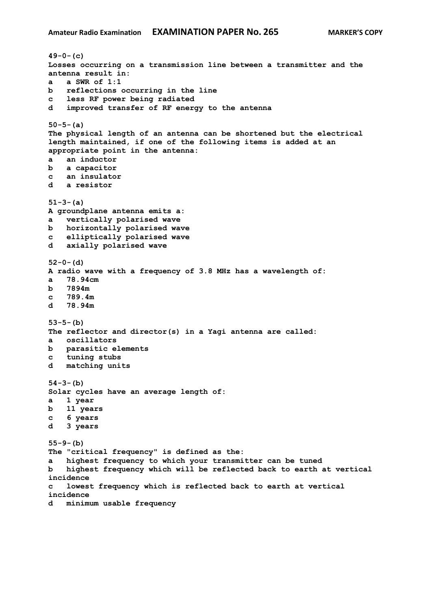```
49-0-(c)
Losses occurring on a transmission line between a transmitter and the 
antenna result in:
a a SWR of 1:1
b reflections occurring in the line
c less RF power being radiated
d improved transfer of RF energy to the antenna
50-5-(a)
The physical length of an antenna can be shortened but the electrical 
length maintained, if one of the following items is added at an 
appropriate point in the antenna:
a an inductor
b a capacitor
c an insulator
d a resistor
51-3-(a)
A groundplane antenna emits a:
a vertically polarised wave
b horizontally polarised wave
c elliptically polarised wave
d axially polarised wave
52-0-(d)
A radio wave with a frequency of 3.8 MHz has a wavelength of:
a 78.94cm
b 7894m
c 789.4m
d 78.94m
53-5-(b)
The reflector and director(s) in a Yagi antenna are called:
a oscillators
b parasitic elements
c tuning stubs
d matching units
54-3-(b)
Solar cycles have an average length of:
a 1 year
b 11 years
c 6 years
d 3 years
55-9-(b)
The "critical frequency" is defined as the:
a highest frequency to which your transmitter can be tuned
b highest frequency which will be reflected back to earth at vertical 
incidence
c lowest frequency which is reflected back to earth at vertical 
incidence
d minimum usable frequency
```